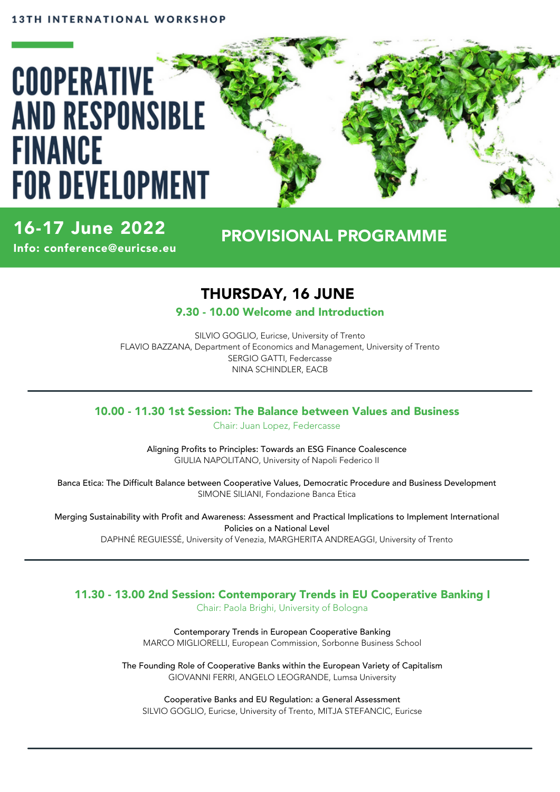# **COOPERATIVE AND RESPONSIBLE FINANCE FOR DEVELOPMENT**

# 16-17 June 2022

Info: conference@euricse.eu

# PROVISIONAL PROGRAMME

# THURSDAY, 16 JUNE

9.30 - 10.00 Welcome and Introduction

SILVIO GOGLIO, Euricse, University of Trento FLAVIO BAZZANA, Department of Economics and Management, University of Trento SERGIO GATTI, Federcasse NINA SCHINDLER, EACB

## 10.00 - 11.30 1st Session: The Balance between Values and Business

Chair: Juan Lopez, Federcasse

Aligning Profits to Principles: Towards an ESG Finance Coalescence GIULIA NAPOLITANO, University of Napoli Federico II

Banca Etica: The Difficult Balance between Cooperative Values, Democratic Procedure and Business Development SIMONE SILIANI, Fondazione Banca Etica

Merging Sustainability with Profit and Awareness: Assessment and Practical Implications to Implement International Policies on a National Level DAPHNÉ REGUIESSÉ, University of Venezia, MARGHERITA ANDREAGGI, University of Trento

# 11.30 - 13.00 2nd Session: Contemporary Trends in EU Cooperative Banking I

Chair: Paola Brighi, University of Bologna

Contemporary Trends in European Cooperative Banking MARCO MIGLIORELLI, European Commission, Sorbonne Business School

The Founding Role of Cooperative Banks within the European Variety of Capitalism GIOVANNI FERRI, ANGELO LEOGRANDE, Lumsa University

Cooperative Banks and EU Regulation: a General Assessment SILVIO GOGLIO, Euricse, University of Trento, MITJA STEFANCIC, Euricse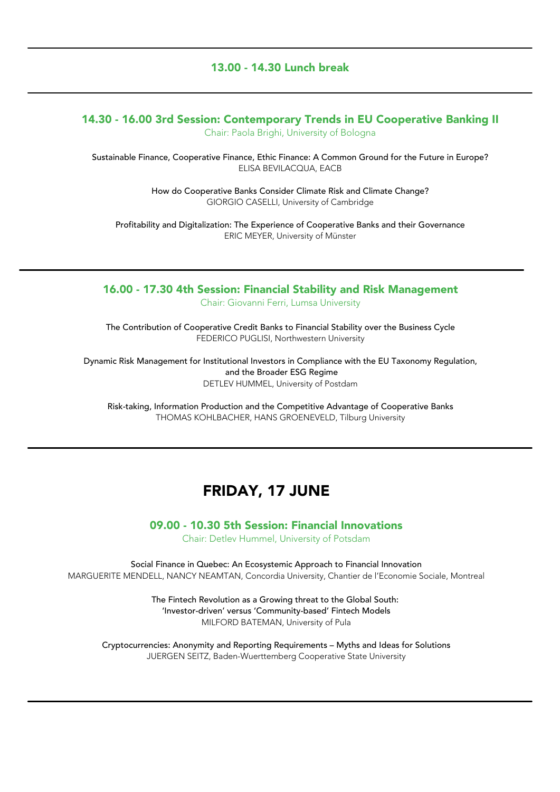#### 13.00 - 14.30 Lunch break

## 14.30 - 16.00 3rd Session: Contemporary Trends in EU Cooperative Banking II

Chair: Paola Brighi, University of Bologna

Sustainable Finance, Cooperative Finance, Ethic Finance: A Common Ground for the Future in Europe? ELISA BEVILACQUA, EACB

> How do Cooperative Banks Consider Climate Risk and Climate Change? GIORGIO CASELLI, University of Cambridge

Profitability and Digitalization: The Experience of Cooperative Banks and their Governance ERIC MEYER, University of Münster

#### 16.00 - 17.30 4th Session: Financial Stability and Risk Management Chair: Giovanni Ferri, Lumsa University

The Contribution of Cooperative Credit Banks to Financial Stability over the Business Cycle FEDERICO PUGLISI, Northwestern University

Dynamic Risk Management for Institutional Investors in Compliance with the EU Taxonomy Regulation, and the Broader ESG Regime DETLEV HUMMEL, University of Postdam

Risk-taking, Information Production and the Competitive Advantage of Cooperative Banks THOMAS KOHLBACHER, HANS GROENEVELD, Tilburg University

## FRIDAY, 17 JUNE

09.00 - 10.30 5th Session: Financial Innovations

Chair: Detlev Hummel, University of Potsdam

Social Finance in Quebec: An Ecosystemic Approach to Financial Innovation MARGUERITE MENDELL, NANCY NEAMTAN, Concordia University, Chantier de l'Economie Sociale, Montreal

> The Fintech Revolution as a Growing threat to the Global South: 'Investor-driven' versus 'Community-based' Fintech Models MILFORD BATEMAN, University of Pula

Cryptocurrencies: Anonymity and Reporting Requirements – Myths and Ideas for Solutions JUERGEN SEITZ, Baden-Wuerttemberg Cooperative State University